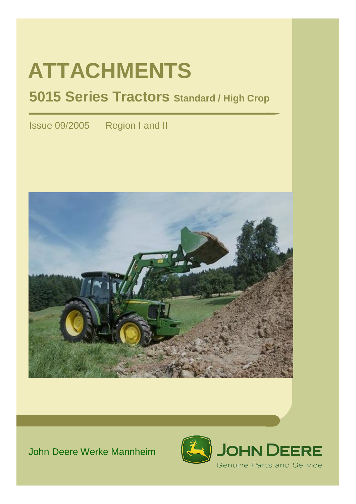# **ATTACHMENTS**

# **5015 Series Tractors Standard / High Crop**

Issue 09/2005 Region I and II



# John Deere Werke Mannheim

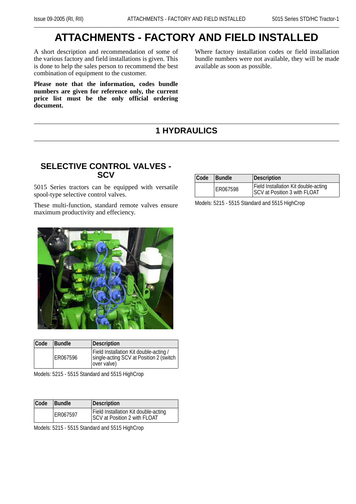# **ATTACHMENTS - FACTORY AND FIELD INSTALLED**

A short description and recommendation of some of the various factory and field installations is given. This is done to help the sales person to recommend the best combination of equipment to the customer.

**Please note that the information, codes bundle numbers are given for reference only, the current price list must be the only official ordering document.**

Where factory installation codes or field installation bundle numbers were not available, they will be made available as soon as possible.

#### **1 HYDRAULICS**

#### **SELECTIVE CONTROL VALVES - SCV**

5015 Series tractors can be equipped with versatile spool-type selective control valves.

These multi-function, standard remote valves ensure maximum productivity and effeciency.

| Code | <b>Bundle</b> | Description                                                                                       |
|------|---------------|---------------------------------------------------------------------------------------------------|
|      | ER067596      | Field Installation Kit double-acting /<br>single-acting SCV at Position 2 (switch<br>lover valve) |

Models: 5215 - 5515 Standard and 5515 HighCrop

| Code | <b>Bundle</b> | Description                                                          |
|------|---------------|----------------------------------------------------------------------|
|      | ER067597      | Field Installation Kit double-acting<br>SCV at Position 2 with FLOAT |

Models: 5215 - 5515 Standard and 5515 HighCrop

| Code | Bundle   | <b>Description</b>                                                          |
|------|----------|-----------------------------------------------------------------------------|
|      | ER067598 | Field Installation Kit double-acting<br><b>SCV at Position 3 with FLOAT</b> |

Models: 5215 - 5515 Standard and 5515 HighCrop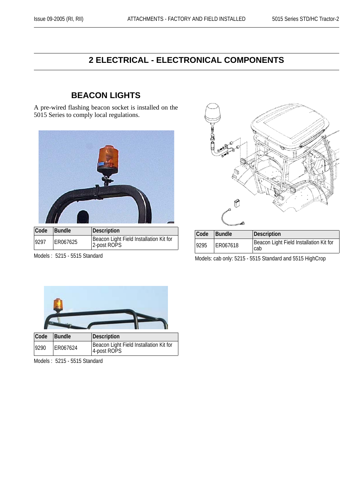## **2 ELECTRICAL - ELECTRONICAL COMPONENTS**

#### **BEACON LIGHTS**

A pre-wired flashing beacon socket is installed on the 5015 Series to comply local regulations.



| Code Bundle |          | Description                                            |
|-------------|----------|--------------------------------------------------------|
| 9297        | ER067625 | Beacon Light Field Installation Kit for<br>2-post ROPS |

Models : 5215 - 5515 Standard



| Code | <b>Bundle</b> | Description                                     |
|------|---------------|-------------------------------------------------|
| 9295 | ER067618      | Beacon Light Field Installation Kit for<br>Icab |

Models: cab only: 5215 - 5515 Standard and 5515 HighCrop



Models : 5215 - 5515 Standard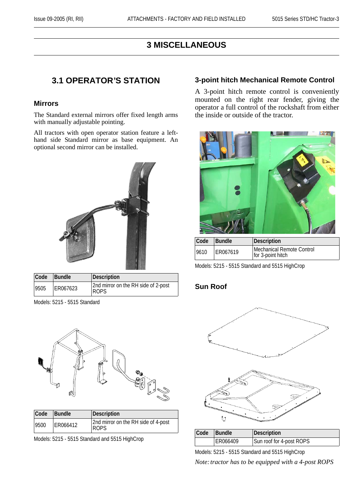#### **3 MISCELLANEOUS**

#### **3.1 OPERATOR'S STATION**

#### **Mirrors**

The Standard external mirrors offer fixed length arms with manually adjustable pointing.

All tractors with open operator station feature a lefthand side Standard mirror as base equipment. An optional second mirror can be installed.



| Code Bundle |          | Description                                        |
|-------------|----------|----------------------------------------------------|
| 9505        | ER067623 | 2nd mirror on the RH side of 2-post<br><b>ROPS</b> |

Models: 5215 - 5515 Standard



| Code | <b>Bundle</b> | Description                                        |
|------|---------------|----------------------------------------------------|
| 9500 | ER066412      | 2nd mirror on the RH side of 4-post<br><b>ROPS</b> |

Models: 5215 - 5515 Standard and 5515 HighCrop

#### **3-point hitch Mechanical Remote Control**

A 3-point hitch remote control is conveniently mounted on the right rear fender, giving the operator a full control of the rockshaft from either the inside or outside of the tractor.



| Code | <b>Bundle</b> | <b>Description</b>                             |
|------|---------------|------------------------------------------------|
| 9610 | ER067619      | Mechanical Remote Control<br>for 3-point hitch |

Models: 5215 - 5515 Standard and 5515 HighCrop

#### **Sun Roof**





| Code | <b>Bundle</b> | Description              |
|------|---------------|--------------------------|
|      | ER066409      | Sun roof for 4-post ROPS |

Models: 5215 - 5515 Standard and 5515 HighCrop *Note: tractor has to be equipped with a 4-post ROPS*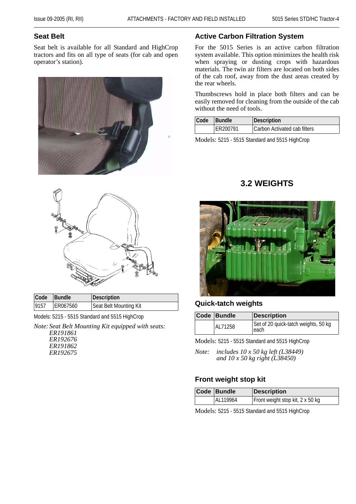#### **Seat Belt**

Seat belt is available for all Standard and HighCrop tractors and fits on all type of seats (for cab and open operator's station).





| Code | <b>Bundle</b> | Description            |
|------|---------------|------------------------|
| 9157 | ER067560      | Seat Belt Mounting Kit |

Models: 5215 - 5515 Standard and 5515 HighCrop

*Note:Seat Belt Mounting Kit equipped with seats: ER191861 ER192676 ER191862 ER192675*

#### **Active Carbon Filtration System**

For the 5015 Series is an active carbon filtration system available. This option minimizes the health risk when spraying or dusting crops with hazardous materials. The twin air filters are located on both sides of the cab roof, away from the dust areas created by the rear wheels.

Thumbscrews hold in place both filters and can be easily removed for cleaning from the outside of the cab without the need of tools.

| Code | <b>Bundle</b> | Description                  |
|------|---------------|------------------------------|
|      | ER200791      | Carbon Activated cab filters |

Models: 5215 - 5515 Standard and 5515 HighCrop

#### **3.2 WEIGHTS**



#### **Quick-tatch weights**

| Code Bundle | <b>Description</b>                           |
|-------------|----------------------------------------------|
| AL71258     | Set of 20 quick-tatch weights, 50 kg<br>each |

Models: 5215 - 5515 Standard and 5515 HighCrop

*Note: includes 10 x 50 kg left (L38449) and 10 x 50 kg right (L38450)*

#### **Front weight stop kit**

|  | Code Bundle | <b>Description</b>               |
|--|-------------|----------------------------------|
|  | AL119964    | Front weight stop kit, 2 x 50 kg |

Models: 5215 - 5515 Standard and 5515 HighCrop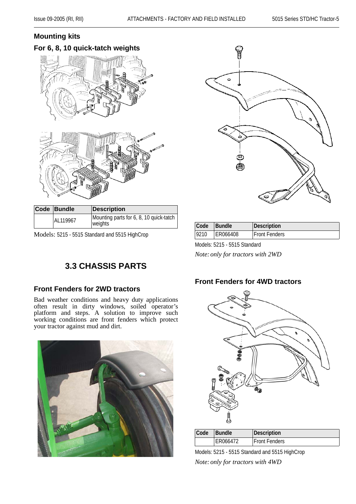#### **Mounting kits**

# **For 6, 8, 10 quick-tatch weights**

| Code Bundle | <b>Description</b>                      |      |        |                     |
|-------------|-----------------------------------------|------|--------|---------------------|
| AL119967    | Mounting parts for 6, 8, 10 quick-tatch |      |        |                     |
|             | weights                                 | Code | Bundle | <b> Description</b> |

Models: 5215 - 5515 Standard and 5515 HighCrop



| Code | <b>Bundle</b> | Description          |
|------|---------------|----------------------|
| 9210 | ER066408      | <b>Front Fenders</b> |

Models: 5215 - 5515 Standard

*Note:only for tractors with 2WD*

#### **Front Fenders for 4WD tractors**



| <b>Code</b> | <b>Bundle</b> | Description          |
|-------------|---------------|----------------------|
|             | ER066472      | <b>Front Fenders</b> |

Models: 5215 - 5515 Standard and 5515 HighCrop *Note:only for tractors with 4WD*

# **3.3 CHASSIS PARTS**

#### **Front Fenders for 2WD tractors**

Bad weather conditions and heavy duty applications often result in dirty windows, soiled operator's platform and steps. A solution to improve such working conditions are front fenders which protect your tractor against mud and dirt.

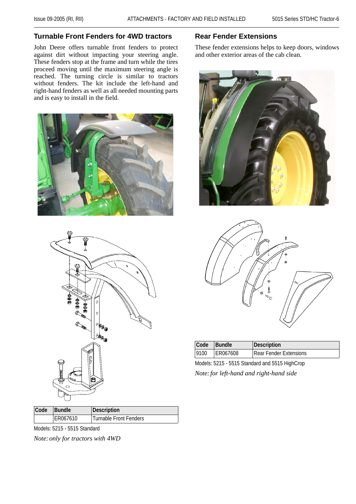#### **Turnable Front Fenders for 4WD tractors**

John Deere offers turnable front fenders to protect against dirt without impacting your steering angle. These fenders stop at the frame and turn while the tires proceed moving until the maximum steering angle is reached. The turning circle is similar to tractors without fenders. The kit include the left-hand and right-hand fenders as well as all needed mounting parts and is easy to install in the field.





| Code | <b>Bundle</b> | Description            |
|------|---------------|------------------------|
|      | ER067610      | Turnable Front Fenders |

Models: 5215 - 5515 Standard

*Note:only for tractors with 4WD*

#### **Rear Fender Extensions**

These fender extensions helps to keep doors, windows and other exterior areas of the cab clean.





| Code Bundle |          | Description                   |
|-------------|----------|-------------------------------|
| 9100        | ER067608 | <b>Rear Fender Extensions</b> |

Models: 5215 - 5515 Standard and 5515 HighCrop *Note:for left-hand and right-hand side*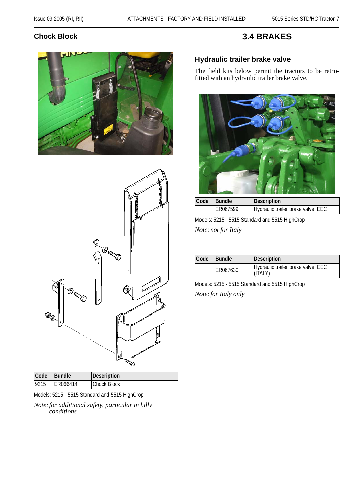#### **Chock Block**

#### **3.4 BRAKES**





| Code | <b>Bundle</b> | Description |
|------|---------------|-------------|
| 9215 | ER066414      | Chock Block |

Models: 5215 - 5515 Standard and 5515 HighCrop

*Note:for additional safety, particular in hilly conditions*

#### **Hydraulic trailer brake valve**

The field kits below permit the tractors to be retrofitted with an hydraulic trailer brake valve.



| Code | <b>Bundle</b> | Description                        |
|------|---------------|------------------------------------|
|      | ER067599      | Hydraulic trailer brake valve, EEC |

Models: 5215 - 5515 Standard and 5515 HighCrop *Note:not for Italy*

| Code | <b>Bundle</b> | Description                                   |
|------|---------------|-----------------------------------------------|
|      | ER067630      | Hydraulic trailer brake valve, EEC<br>(ITALY) |

Models: 5215 - 5515 Standard and 5515 HighCrop *Note:for Italy only*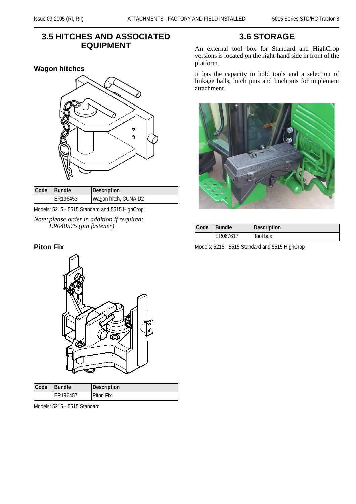#### **3.5 HITCHES AND ASSOCIATED EQUIPMENT**

#### **Wagon hitches**



| Code | <b>Bundle</b> | Description          |
|------|---------------|----------------------|
|      | ER196453      | Wagon hitch, CUNA D2 |

Models: 5215 - 5515 Standard and 5515 HighCrop

*Note:please order in addition if required: ER040575 (pin fastener)*

#### **Piton Fix**



| Code | <b>Bundle</b> | Description      |
|------|---------------|------------------|
|      | ER196457      | <b>Piton Fix</b> |

Models: 5215 - 5515 Standard

#### **3.6 STORAGE**

An external tool box for Standard and HighCrop versions is located on the right-hand side in front of the platform.

It has the capacity to hold tools and a selection of linkage balls, hitch pins and linchpins for implement attachment.



| Code | <b>Bundle</b> | Description |
|------|---------------|-------------|
|      | ER067617      | Tool box    |

Models: 5215 - 5515 Standard and 5515 HighCrop